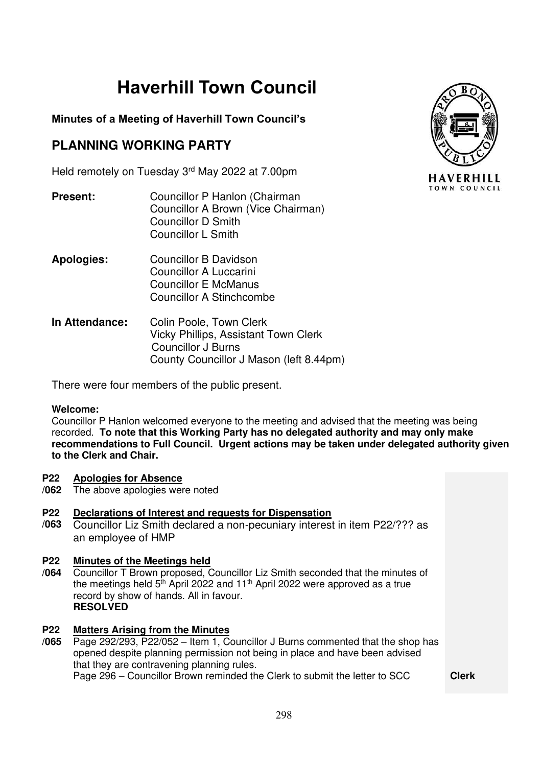# **Haverhill Town Council**

# **Minutes of a Meeting of Haverhill Town Council's**

# **PLANNING WORKING PARTY**

Held remotely on Tuesday 3rd May 2022 at 7.00pm

- **Present:** Councillor P Hanlon (Chairman Councillor A Brown (Vice Chairman) Councillor D Smith Councillor L Smith
- **Apologies:** Councillor B Davidson Councillor A Luccarini Councillor E McManus Councillor A Stinchcombe
- **In Attendance:** Colin Poole, Town Clerk Vicky Phillips, Assistant Town Clerk Councillor J Burns County Councillor J Mason (left 8.44pm)

There were four members of the public present.

### **Welcome:**

Councillor P Hanlon welcomed everyone to the meeting and advised that the meeting was being recorded. **To note that this Working Party has no delegated authority and may only make recommendations to Full Council. Urgent actions may be taken under delegated authority given to the Clerk and Chair.** 

#### **P22 Apologies for Absence**

**/062** The above apologies were noted

### **P22 Declarations of Interest and requests for Dispensation**

**/063** Councillor Liz Smith declared a non-pecuniary interest in item P22/??? as an employee of HMP

### **P22 Minutes of the Meetings held**

**/064** Councillor T Brown proposed, Councillor Liz Smith seconded that the minutes of the meetings held  $5<sup>th</sup>$  April 2022 and 11<sup>th</sup> April 2022 were approved as a true record by show of hands. All in favour. **RESOLVED** 

### **P22 Matters Arising from the Minutes**

**/065** Page 292/293, P22/052 – Item 1, Councillor J Burns commented that the shop has opened despite planning permission not being in place and have been advised that they are contravening planning rules. Page 296 – Councillor Brown reminded the Clerk to submit the letter to SCC **Clerk** 

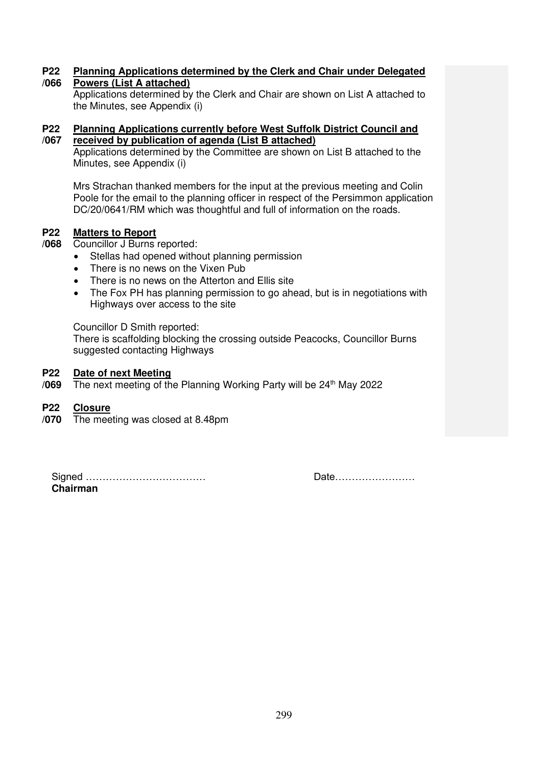#### **P22 /066 Planning Applications determined by the Clerk and Chair under Delegated Powers (List A attached)**

Applications determined by the Clerk and Chair are shown on List A attached to the Minutes, see Appendix (i)

### **P22 /067 Planning Applications currently before West Suffolk District Council and received by publication of agenda (List B attached)**

Applications determined by the Committee are shown on List B attached to the Minutes, see Appendix (i)

Mrs Strachan thanked members for the input at the previous meeting and Colin Poole for the email to the planning officer in respect of the Persimmon application DC/20/0641/RM which was thoughtful and full of information on the roads.

### **P22 Matters to Report**

**/068** Councillor J Burns reported:

- Stellas had opened without planning permission
- There is no news on the Vixen Pub
- There is no news on the Atterton and Ellis site
- The Fox PH has planning permission to go ahead, but is in negotiations with Highways over access to the site

### Councillor D Smith reported:

There is scaffolding blocking the crossing outside Peacocks, Councillor Burns suggested contacting Highways

#### **P22 Date of next Meeting**

**/069**  The next meeting of the Planning Working Party will be  $24<sup>th</sup>$  May 2022

#### **P22 Closure**

**/070** The meeting was closed at 8.48pm

Signed ……………………………… Date…………………… **Chairman**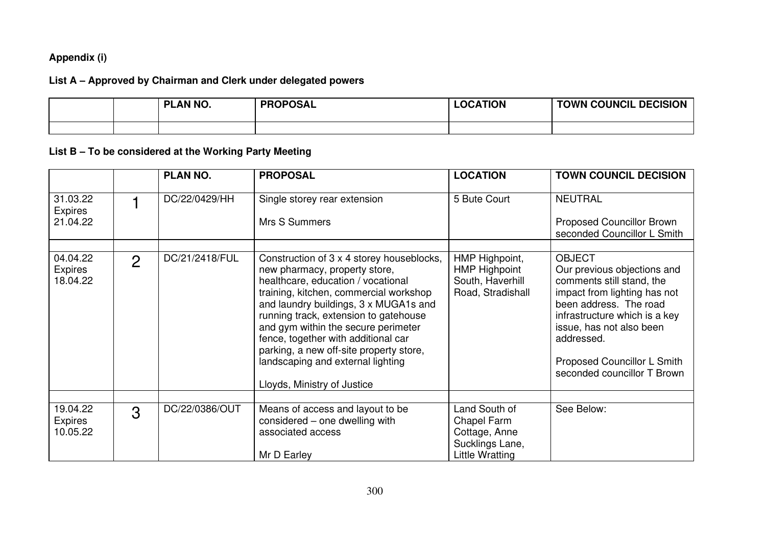# **Appendix (i)**

# **List A – Approved by Chairman and Clerk under delegated powers**

|  | PLAN NO. | <b>PROPOSAL</b> | <b>LOCATION</b> | <b>TOWN COUNCIL DECISION</b> |
|--|----------|-----------------|-----------------|------------------------------|
|  |          |                 |                 |                              |

# **List B – To be considered at the Working Party Meeting**

|                                        |               | <b>PLAN NO.</b> | <b>PROPOSAL</b>                                                                                                                                                                                                                                                                                                                                                                                                                           | <b>LOCATION</b>                                                                     | <b>TOWN COUNCIL DECISION</b>                                                                                                                                                                                                                                                 |
|----------------------------------------|---------------|-----------------|-------------------------------------------------------------------------------------------------------------------------------------------------------------------------------------------------------------------------------------------------------------------------------------------------------------------------------------------------------------------------------------------------------------------------------------------|-------------------------------------------------------------------------------------|------------------------------------------------------------------------------------------------------------------------------------------------------------------------------------------------------------------------------------------------------------------------------|
| 31.03.22<br><b>Expires</b><br>21.04.22 |               | DC/22/0429/HH   | Single storey rear extension<br>Mrs S Summers                                                                                                                                                                                                                                                                                                                                                                                             | 5 Bute Court                                                                        | <b>NEUTRAL</b><br><b>Proposed Councillor Brown</b><br>seconded Councillor L Smith                                                                                                                                                                                            |
| 04.04.22<br><b>Expires</b><br>18.04.22 | $\mathcal{P}$ | DC/21/2418/FUL  | Construction of 3 x 4 storey houseblocks,<br>new pharmacy, property store,<br>healthcare, education / vocational<br>training, kitchen, commercial workshop<br>and laundry buildings, 3 x MUGA1s and<br>running track, extension to gatehouse<br>and gym within the secure perimeter<br>fence, together with additional car<br>parking, a new off-site property store,<br>landscaping and external lighting<br>Lloyds, Ministry of Justice | HMP Highpoint,<br>HMP Highpoint<br>South, Haverhill<br>Road, Stradishall            | <b>OBJECT</b><br>Our previous objections and<br>comments still stand, the<br>impact from lighting has not<br>been address. The road<br>infrastructure which is a key<br>issue, has not also been<br>addressed.<br>Proposed Councillor L Smith<br>seconded councillor T Brown |
| 19.04.22<br>Expires<br>10.05.22        | 3             | DC/22/0386/OUT  | Means of access and layout to be<br>considered – one dwelling with<br>associated access<br>Mr D Earley                                                                                                                                                                                                                                                                                                                                    | Land South of<br>Chapel Farm<br>Cottage, Anne<br>Sucklings Lane,<br>Little Wratting | See Below:                                                                                                                                                                                                                                                                   |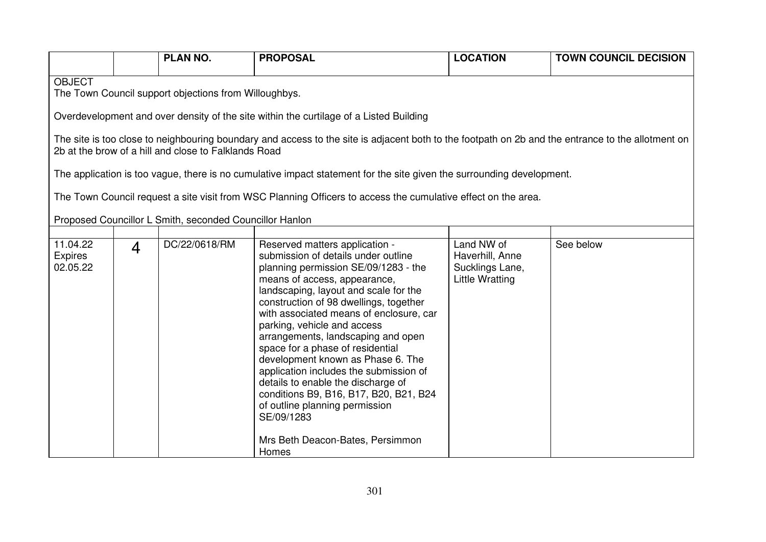|                                                                        |                                                                                        | <b>PLAN NO.</b>                                         | <b>PROPOSAL</b>                                                                                                                                                                                                                                                                                                                                                                                                                                                                                                                                                                                     | <b>LOCATION</b>                                                     | <b>TOWN COUNCIL DECISION</b> |  |  |
|------------------------------------------------------------------------|----------------------------------------------------------------------------------------|---------------------------------------------------------|-----------------------------------------------------------------------------------------------------------------------------------------------------------------------------------------------------------------------------------------------------------------------------------------------------------------------------------------------------------------------------------------------------------------------------------------------------------------------------------------------------------------------------------------------------------------------------------------------------|---------------------------------------------------------------------|------------------------------|--|--|
| <b>OBJECT</b><br>The Town Council support objections from Willoughbys. |                                                                                        |                                                         |                                                                                                                                                                                                                                                                                                                                                                                                                                                                                                                                                                                                     |                                                                     |                              |  |  |
|                                                                        | Overdevelopment and over density of the site within the curtilage of a Listed Building |                                                         |                                                                                                                                                                                                                                                                                                                                                                                                                                                                                                                                                                                                     |                                                                     |                              |  |  |
|                                                                        |                                                                                        | 2b at the brow of a hill and close to Falklands Road    | The site is too close to neighbouring boundary and access to the site is adjacent both to the footpath on 2b and the entrance to the allotment on                                                                                                                                                                                                                                                                                                                                                                                                                                                   |                                                                     |                              |  |  |
|                                                                        |                                                                                        |                                                         | The application is too vague, there is no cumulative impact statement for the site given the surrounding development.                                                                                                                                                                                                                                                                                                                                                                                                                                                                               |                                                                     |                              |  |  |
|                                                                        |                                                                                        |                                                         | The Town Council request a site visit from WSC Planning Officers to access the cumulative effect on the area.                                                                                                                                                                                                                                                                                                                                                                                                                                                                                       |                                                                     |                              |  |  |
|                                                                        |                                                                                        | Proposed Councillor L Smith, seconded Councillor Hanlon |                                                                                                                                                                                                                                                                                                                                                                                                                                                                                                                                                                                                     |                                                                     |                              |  |  |
| 11.04.22<br><b>Expires</b><br>02.05.22                                 | $\overline{4}$                                                                         | DC/22/0618/RM                                           | Reserved matters application -<br>submission of details under outline<br>planning permission SE/09/1283 - the<br>means of access, appearance,<br>landscaping, layout and scale for the<br>construction of 98 dwellings, together<br>with associated means of enclosure, car<br>parking, vehicle and access<br>arrangements, landscaping and open<br>space for a phase of residential<br>development known as Phase 6. The<br>application includes the submission of<br>details to enable the discharge of<br>conditions B9, B16, B17, B20, B21, B24<br>of outline planning permission<br>SE/09/1283 | Land NW of<br>Haverhill, Anne<br>Sucklings Lane,<br>Little Wratting | See below                    |  |  |
|                                                                        |                                                                                        |                                                         | Mrs Beth Deacon-Bates, Persimmon<br>Homes                                                                                                                                                                                                                                                                                                                                                                                                                                                                                                                                                           |                                                                     |                              |  |  |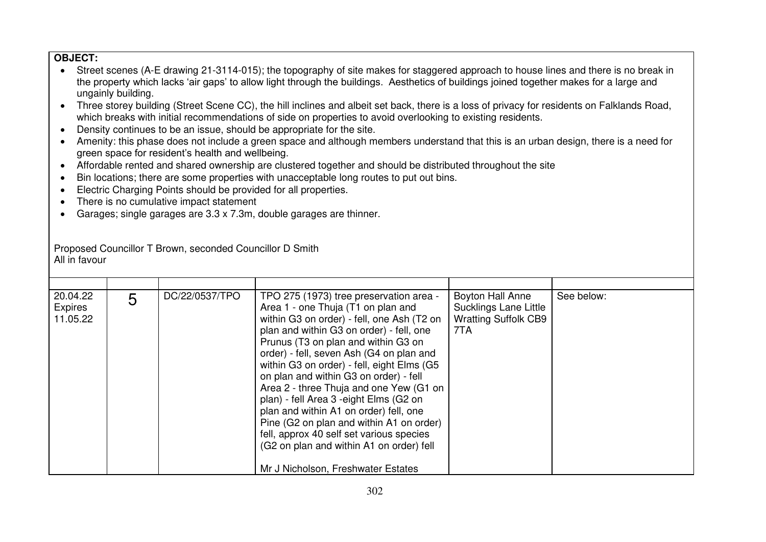### **OBJECT:**

- Street scenes (A-E drawing 21-3114-015); the topography of site makes for staggered approach to house lines and there is no break in the property which lacks 'air gaps' to allow light through the buildings. Aesthetics of buildings joined together makes for a large and ungainly building.
- Three storey building (Street Scene CC), the hill inclines and albeit set back, there is a loss of privacy for residents on Falklands Road, which breaks with initial recommendations of side on properties to avoid overlooking to existing residents.
- Density continues to be an issue, should be appropriate for the site.
- Amenity: this phase does not include a green space and although members understand that this is an urban design, there is a need for green space for resident's health and wellbeing.
- Affordable rented and shared ownership are clustered together and should be distributed throughout the site
- Bin locations; there are some properties with unacceptable long routes to put out bins.
- Electric Charging Points should be provided for all properties.
- There is no cumulative impact statement
- Garages; single garages are 3.3 x 7.3m, double garages are thinner.

Proposed Councillor T Brown, seconded Councillor D Smith All in favour

| 20.04.22<br>Expires<br>11.05.22 | 5 | DC/22/0537/TPO | TPO 275 (1973) tree preservation area -<br>Area 1 - one Thuja (T1 on plan and<br>within G3 on order) - fell, one Ash (T2 on<br>plan and within G3 on order) - fell, one<br>Prunus (T3 on plan and within G3 on<br>order) - fell, seven Ash (G4 on plan and<br>within G3 on order) - fell, eight Elms (G5<br>on plan and within G3 on order) - fell<br>Area 2 - three Thuja and one Yew (G1 on<br>plan) - fell Area 3 - eight Elms (G2 on<br>plan and within A1 on order) fell, one<br>Pine (G2 on plan and within A1 on order)<br>fell, approx 40 self set various species<br>(G2 on plan and within A1 on order) fell<br>Mr J Nicholson, Freshwater Estates | Boyton Hall Anne<br><b>Sucklings Lane Little</b><br><b>Wratting Suffolk CB9</b><br>7TA | See below: |
|---------------------------------|---|----------------|--------------------------------------------------------------------------------------------------------------------------------------------------------------------------------------------------------------------------------------------------------------------------------------------------------------------------------------------------------------------------------------------------------------------------------------------------------------------------------------------------------------------------------------------------------------------------------------------------------------------------------------------------------------|----------------------------------------------------------------------------------------|------------|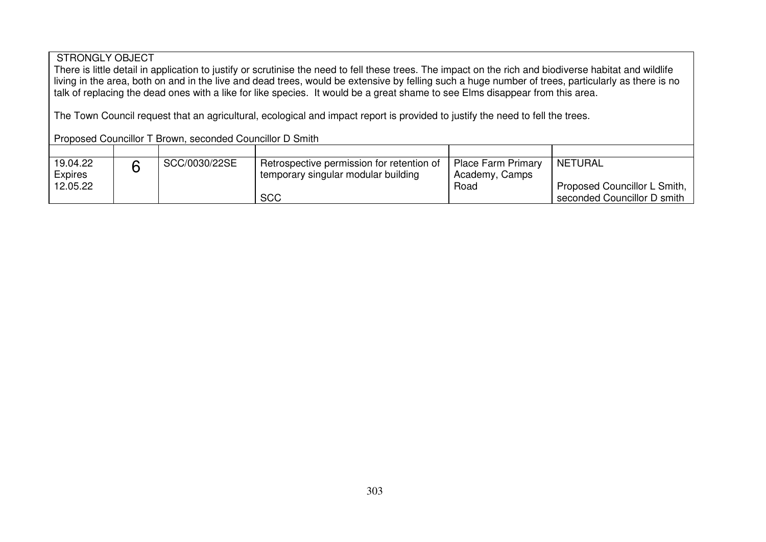### STRONGLY OBJECT

There is little detail in application to justify or scrutinise the need to fell these trees. The impact on the rich and biodiverse habitat and wildlife living in the area, both on and in the live and dead trees, would be extensive by felling such a huge number of trees, particularly as there is no talk of replacing the dead ones with a like for like species. It would be a great shame to see Elms disappear from this area.

The Town Council request that an agricultural, ecological and impact report is provided to justify the need to fell the trees.

|  | Proposed Councillor T Brown, seconded Councillor D Smith |
|--|----------------------------------------------------------|
|--|----------------------------------------------------------|

| 19.04.22       | SCC/0030/22SE | Retrospective permission for retention of | <b>Place Farm Primary</b> | <b>NETURAL</b>                |
|----------------|---------------|-------------------------------------------|---------------------------|-------------------------------|
| <b>Expires</b> |               | temporary singular modular building       | Academy, Camps            |                               |
| 12.05.22       |               |                                           | Road                      | Proposed Councillor L Smith,  |
|                |               | <b>SCC</b>                                |                           | ' seconded Councillor D smith |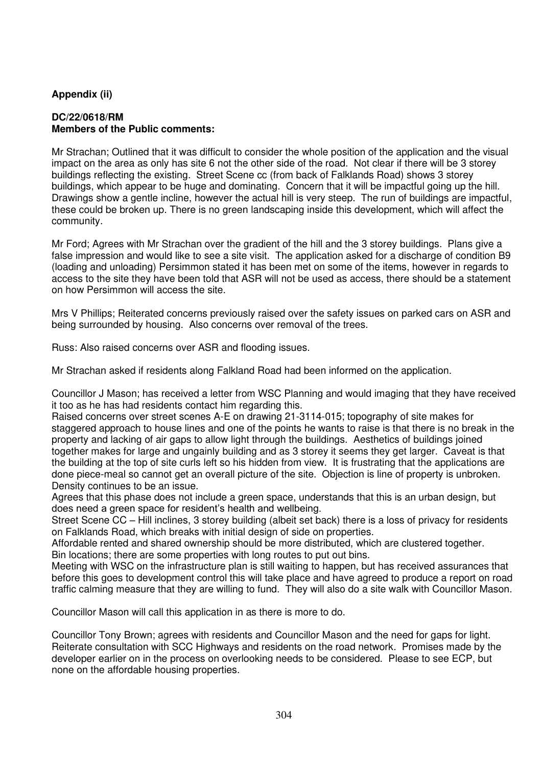### **Appendix (ii)**

### **DC/22/0618/RM Members of the Public comments:**

Mr Strachan; Outlined that it was difficult to consider the whole position of the application and the visual impact on the area as only has site 6 not the other side of the road. Not clear if there will be 3 storey buildings reflecting the existing. Street Scene cc (from back of Falklands Road) shows 3 storey buildings, which appear to be huge and dominating. Concern that it will be impactful going up the hill. Drawings show a gentle incline, however the actual hill is very steep. The run of buildings are impactful, these could be broken up. There is no green landscaping inside this development, which will affect the community.

Mr Ford; Agrees with Mr Strachan over the gradient of the hill and the 3 storey buildings. Plans give a false impression and would like to see a site visit. The application asked for a discharge of condition B9 (loading and unloading) Persimmon stated it has been met on some of the items, however in regards to access to the site they have been told that ASR will not be used as access, there should be a statement on how Persimmon will access the site.

Mrs V Phillips; Reiterated concerns previously raised over the safety issues on parked cars on ASR and being surrounded by housing. Also concerns over removal of the trees.

Russ: Also raised concerns over ASR and flooding issues.

Mr Strachan asked if residents along Falkland Road had been informed on the application.

Councillor J Mason; has received a letter from WSC Planning and would imaging that they have received it too as he has had residents contact him regarding this.

Raised concerns over street scenes A-E on drawing 21-3114-015; topography of site makes for staggered approach to house lines and one of the points he wants to raise is that there is no break in the property and lacking of air gaps to allow light through the buildings. Aesthetics of buildings joined together makes for large and ungainly building and as 3 storey it seems they get larger. Caveat is that the building at the top of site curls left so his hidden from view. It is frustrating that the applications are done piece-meal so cannot get an overall picture of the site. Objection is line of property is unbroken. Density continues to be an issue.

Agrees that this phase does not include a green space, understands that this is an urban design, but does need a green space for resident's health and wellbeing.

Street Scene CC – Hill inclines, 3 storey building (albeit set back) there is a loss of privacy for residents on Falklands Road, which breaks with initial design of side on properties.

Affordable rented and shared ownership should be more distributed, which are clustered together. Bin locations; there are some properties with long routes to put out bins.

Meeting with WSC on the infrastructure plan is still waiting to happen, but has received assurances that before this goes to development control this will take place and have agreed to produce a report on road traffic calming measure that they are willing to fund. They will also do a site walk with Councillor Mason.

Councillor Mason will call this application in as there is more to do.

Councillor Tony Brown; agrees with residents and Councillor Mason and the need for gaps for light. Reiterate consultation with SCC Highways and residents on the road network. Promises made by the developer earlier on in the process on overlooking needs to be considered. Please to see ECP, but none on the affordable housing properties.